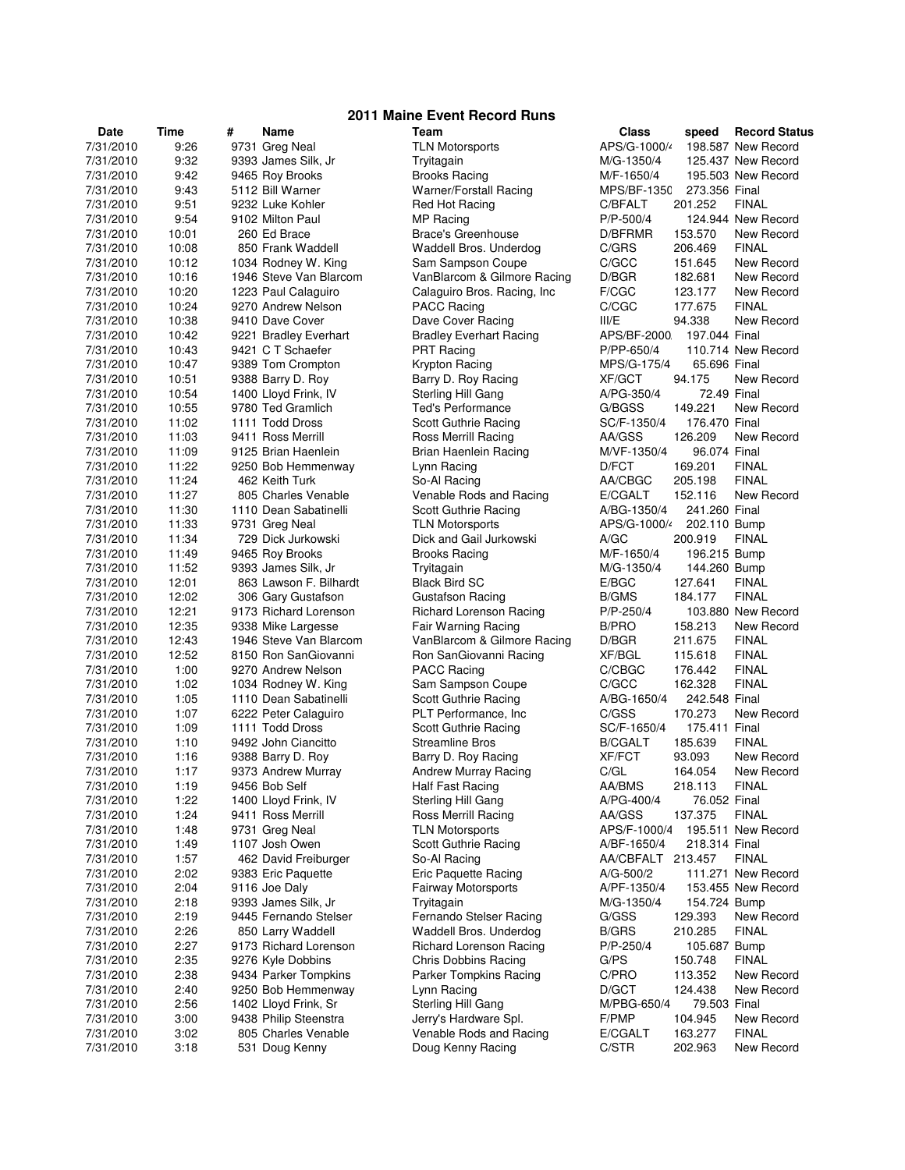| 2011 Maine Event Record Runs |                |   |                                              |  |                                                    |                       |                    |                            |
|------------------------------|----------------|---|----------------------------------------------|--|----------------------------------------------------|-----------------------|--------------------|----------------------------|
| Date                         | Time           | # | <b>Name</b>                                  |  | Team                                               | Class                 | speed              | <b>Record Status</b>       |
| 7/31/2010                    | 9:26           |   | 9731 Greg Neal                               |  | <b>TLN Motorsports</b>                             | APS/G-1000/           |                    | 198,587 New Record         |
| 7/31/2010                    | 9:32           |   | 9393 James Silk, Jr                          |  | Tryitagain                                         | M/G-1350/4            |                    | 125.437 New Record         |
| 7/31/2010                    | 9:42           |   | 9465 Roy Brooks                              |  | <b>Brooks Racing</b>                               | M/F-1650/4            |                    | 195,503 New Record         |
| 7/31/2010                    | 9:43           |   | 5112 Bill Warner                             |  | <b>Warner/Forstall Racing</b>                      | MPS/BF-1350           | 273.356 Final      |                            |
| 7/31/2010                    | 9:51           |   | 9232 Luke Kohler                             |  | Red Hot Racing                                     | C/BFALT               | 201.252            | <b>FINAL</b>               |
| 7/31/2010                    | 9:54           |   | 9102 Milton Paul                             |  | MP Racing                                          | $P/P - 500/4$         |                    | 124.944 New Record         |
| 7/31/2010                    | 10:01          |   | 260 Ed Brace                                 |  | Brace's Greenhouse                                 | D/BFRMR               | 153.570            | New Record                 |
| 7/31/2010                    | 10:08          |   | 850 Frank Waddell                            |  | Waddell Bros. Underdog                             | C/GRS                 | 206.469            | <b>FINAL</b>               |
| 7/31/2010                    | 10:12          |   | 1034 Rodney W. King                          |  | Sam Sampson Coupe                                  | C/GCC                 | 151.645            | New Record                 |
| 7/31/2010                    | 10:16          |   | 1946 Steve Van Blarcom                       |  | VanBlarcom & Gilmore Racing                        | D/BGR                 | 182.681            | New Record                 |
| 7/31/2010                    | 10:20          |   | 1223 Paul Calaguiro                          |  | Calaguiro Bros. Racing, Inc.                       | F/CGC                 | 123.177            | New Record                 |
| 7/31/2010                    | 10:24          |   | 9270 Andrew Nelson                           |  | <b>PACC Racing</b>                                 | C/CGC                 | 177.675            | <b>FINAL</b>               |
| 7/31/2010                    | 10:38          |   | 9410 Dave Cover                              |  | Dave Cover Racing                                  | III/E                 | 94.338             | New Record                 |
| 7/31/2010                    | 10:42          |   | 9221 Bradley Everhart                        |  | <b>Bradley Everhart Racing</b>                     | APS/BF-2000           | 197.044 Final      |                            |
| 7/31/2010                    | 10:43          |   | 9421 C T Schaefer                            |  | <b>PRT Racing</b>                                  | P/PP-650/4            |                    | 110.714 New Record         |
| 7/31/2010                    | 10:47          |   | 9389 Tom Crompton                            |  | Krypton Racing                                     | MPS/G-175/4           | 65.696 Final       |                            |
| 7/31/2010                    | 10:51          |   | 9388 Barry D. Roy                            |  | Barry D. Roy Racing                                | <b>XF/GCT</b>         | 94.175             | New Record                 |
| 7/31/2010                    | 10:54          |   | 1400 Lloyd Frink, IV                         |  | Sterling Hill Gang                                 | A/PG-350/4            | 72.49 Final        |                            |
| 7/31/2010                    | 10:55          |   | 9780 Ted Gramlich                            |  | <b>Ted's Performance</b>                           | G/BGSS                | 149.221            | New Record                 |
| 7/31/2010                    | 11:02          |   | 1111 Todd Dross                              |  | Scott Guthrie Racing                               | SC/F-1350/4           | 176.470 Final      |                            |
| 7/31/2010                    | 11:03          |   | 9411 Ross Merrill                            |  | Ross Merrill Racing                                | AA/GSS                | 126.209            | New Record                 |
| 7/31/2010                    | 11:09          |   | 9125 Brian Haenlein                          |  | Brian Haenlein Racing                              | M/VF-1350/4           | 96.074 Final       |                            |
| 7/31/2010                    | 11:22          |   | 9250 Bob Hemmenway                           |  | Lynn Racing                                        | D/FCT                 | 169.201            | <b>FINAL</b>               |
| 7/31/2010                    | 11:24          |   | 462 Keith Turk                               |  | So-Al Racing                                       | AA/CBGC               | 205.198            | <b>FINAL</b>               |
| 7/31/2010                    | 11:27          |   | 805 Charles Venable                          |  | Venable Rods and Racing                            | E/CGALT               | 152.116            | New Record                 |
| 7/31/2010                    | 11:30          |   | 1110 Dean Sabatinelli                        |  | Scott Guthrie Racing                               | A/BG-1350/4           | 241.260 Final      |                            |
| 7/31/2010                    | 11:33          |   | 9731 Greg Neal                               |  | <b>TLN Motorsports</b>                             | APS/G-1000/4          | 202.110 Bump       |                            |
| 7/31/2010                    | 11:34          |   | 729 Dick Jurkowski                           |  | Dick and Gail Jurkowski                            | A/GC                  | 200.919            | <b>FINAL</b>               |
| 7/31/2010                    | 11:49          |   | 9465 Roy Brooks                              |  | <b>Brooks Racing</b>                               | M/F-1650/4            | 196.215 Bump       |                            |
| 7/31/2010                    | 11:52          |   | 9393 James Silk, Jr                          |  | Tryitagain                                         | M/G-1350/4            | 144.260 Bump       |                            |
| 7/31/2010                    | 12:01          |   | 863 Lawson F. Bilhardt                       |  | <b>Black Bird SC</b>                               | E/BGC                 | 127.641            | <b>FINAL</b>               |
| 7/31/2010                    | 12:02          |   | 306 Gary Gustafson                           |  | <b>Gustafson Racing</b>                            | <b>B/GMS</b>          | 184.177            | <b>FINAL</b>               |
| 7/31/2010                    | 12:21          |   | 9173 Richard Lorenson                        |  | Richard Lorenson Racing                            | $P/P - 250/4$         |                    | 103.880 New Record         |
| 7/31/2010<br>7/31/2010       | 12:35<br>12:43 |   | 9338 Mike Largesse<br>1946 Steve Van Blarcom |  | Fair Warning Racing<br>VanBlarcom & Gilmore Racing | <b>B/PRO</b><br>D/BGR | 158.213<br>211.675 | New Record<br><b>FINAL</b> |
| 7/31/2010                    | 12:52          |   | 8150 Ron SanGiovanni                         |  | Ron SanGiovanni Racing                             | XF/BGL                | 115.618            | <b>FINAL</b>               |
| 7/31/2010                    | 1:00           |   | 9270 Andrew Nelson                           |  | <b>PACC Racing</b>                                 | C/CBGC                | 176.442            | <b>FINAL</b>               |
| 7/31/2010                    | 1:02           |   | 1034 Rodney W. King                          |  | Sam Sampson Coupe                                  | C/GCC                 | 162.328            | <b>FINAL</b>               |
| 7/31/2010                    | 1:05           |   | 1110 Dean Sabatinelli                        |  | Scott Guthrie Racing                               | A/BG-1650/4           | 242.548 Final      |                            |
| 7/31/2010                    | 1:07           |   | 6222 Peter Calaguiro                         |  | PLT Performance, Inc.                              | C/GSS                 | 170.273            | New Record                 |
| 7/31/2010                    | 1:09           |   | 1111 Todd Dross                              |  | Scott Guthrie Racing                               | SC/F-1650/4           | 175.411 Final      |                            |
| 7/31/2010                    | 1:10           |   | 9492 John Ciancitto                          |  | <b>Streamline Bros</b>                             | <b>B/CGALT</b>        | 185.639            | <b>FINAL</b>               |
| 7/31/2010                    | 1:16           |   | 9388 Barry D. Roy                            |  | Barry D. Roy Racing                                | <b>XF/FCT</b>         | 93.093             | New Record                 |
| 7/31/2010                    | 1:17           |   | 9373 Andrew Murray                           |  | <b>Andrew Murray Racing</b>                        | C/GL                  | 164.054            | New Record                 |
| 7/31/2010                    | 1:19           |   | 9456 Bob Self                                |  | <b>Half Fast Racing</b>                            | AA/BMS                | 218.113            | <b>FINAL</b>               |
| 7/31/2010                    | 1:22           |   | 1400 Lloyd Frink, IV                         |  | Sterling Hill Gang                                 | A/PG-400/4            | 76.052 Final       |                            |
| 7/31/2010                    | 1:24           |   | 9411 Ross Merrill                            |  | Ross Merrill Racing                                | AA/GSS                | 137.375            | <b>FINAL</b>               |
| 7/31/2010                    | 1:48           |   | 9731 Greg Neal                               |  | <b>TLN Motorsports</b>                             | APS/F-1000/4          |                    | 195.511 New Record         |
| 7/31/2010                    | 1:49           |   | 1107 Josh Owen                               |  | Scott Guthrie Racing                               | A/BF-1650/4           | 218.314 Final      |                            |
| 7/31/2010                    | 1:57           |   | 462 David Freiburger                         |  | So-Al Racing                                       | AA/CBFALT 213.457     |                    | <b>FINAL</b>               |
| 7/31/2010                    | 2:02           |   | 9383 Eric Paquette                           |  | <b>Eric Paquette Racing</b>                        | A/G-500/2             |                    | 111.271 New Record         |
| 7/31/2010                    | 2:04           |   | 9116 Joe Daly                                |  | Fairway Motorsports                                | A/PF-1350/4           |                    | 153.455 New Record         |
| 7/31/2010                    | 2:18           |   | 9393 James Silk, Jr                          |  | Tryitagain                                         | M/G-1350/4            | 154.724 Bump       |                            |
| 7/31/2010                    | 2:19           |   | 9445 Fernando Stelser                        |  | Fernando Stelser Racing                            | G/GSS                 | 129.393            | New Record                 |
| 7/31/2010                    | 2:26           |   | 850 Larry Waddell                            |  | Waddell Bros. Underdog                             | <b>B/GRS</b>          | 210.285            | <b>FINAL</b>               |
| 7/31/2010                    | 2:27           |   | 9173 Richard Lorenson                        |  | Richard Lorenson Racing                            | P/P-250/4             | 105.687 Bump       |                            |
| 7/31/2010                    | 2:35           |   | 9276 Kyle Dobbins                            |  | <b>Chris Dobbins Racing</b>                        | G/PS                  | 150.748            | <b>FINAL</b>               |
| 7/31/2010                    | 2:38           |   | 9434 Parker Tompkins                         |  | Parker Tompkins Racing                             | C/PRO                 | 113.352            | New Record                 |
| 7/31/2010                    | 2:40           |   | 9250 Bob Hemmenway                           |  | Lynn Racing                                        | D/GCT                 | 124.438            | New Record                 |
| 7/31/2010                    | 2:56           |   | 1402 Lloyd Frink, Sr                         |  | Sterling Hill Gang                                 | M/PBG-650/4           | 79.503 Final       |                            |
| 7/31/2010                    | 3:00           |   | 9438 Philip Steenstra                        |  | Jerry's Hardware Spl.                              | F/PMP                 | 104.945            | New Record                 |
| 7/31/2010                    | 3:02           |   | 805 Charles Venable                          |  | Venable Rods and Racing                            | E/CGALT               | 163.277            | <b>FINAL</b>               |
| 7/31/2010                    | 3:18           |   | 531 Doug Kenny                               |  | Doug Kenny Racing                                  | C/STR                 | 202.963            | New Record                 |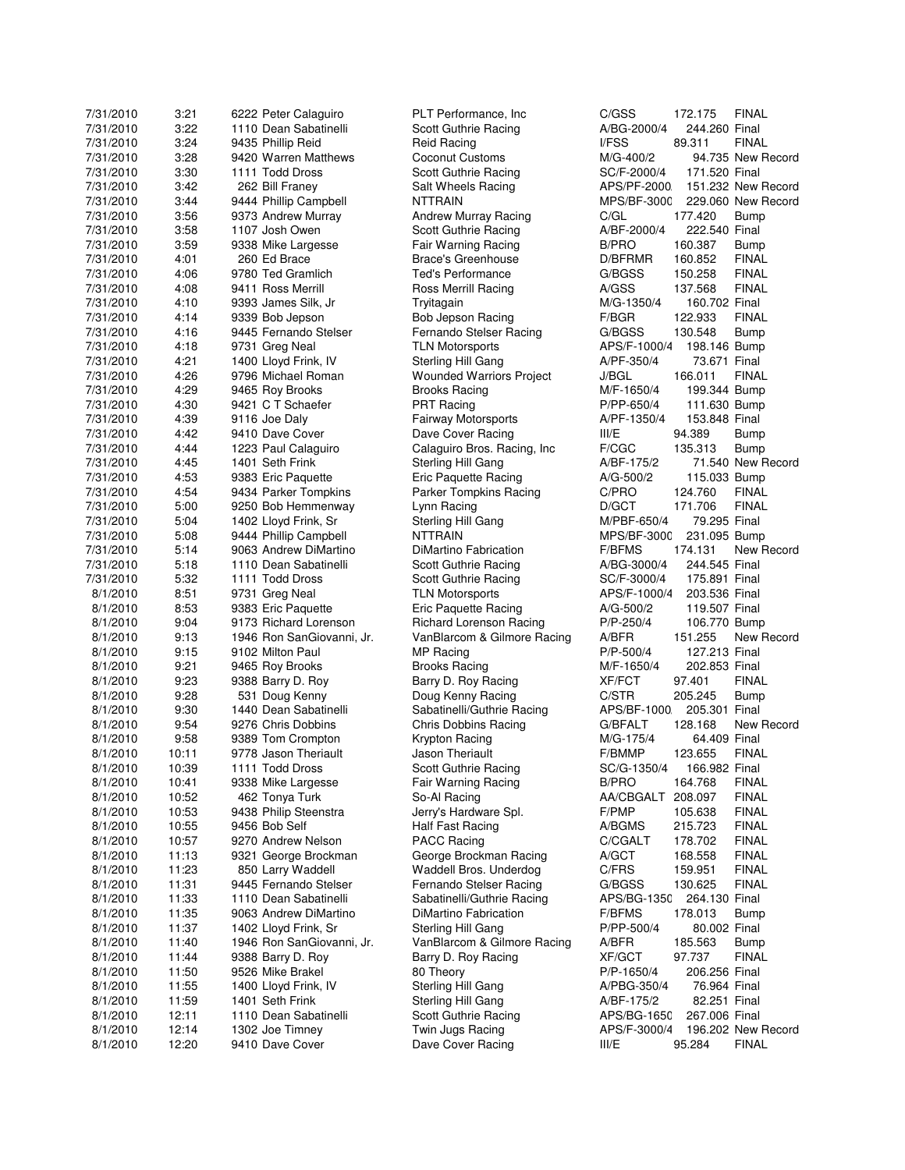| 7/31/2010 | 3:21           | 6222 Peter Calaguiro      | PLT Performance, Inc.           | C/GSS<br><b>FINAL</b><br>172.175                          |
|-----------|----------------|---------------------------|---------------------------------|-----------------------------------------------------------|
| 7/31/2010 | 3:22           | 1110 Dean Sabatinelli     | Scott Guthrie Racing            | 244.260 Final<br>A/BG-2000/4                              |
| 7/31/2010 | 3:24           | 9435 Phillip Reid         | <b>Reid Racing</b>              | I/FSS<br>89.311<br><b>FINAL</b>                           |
| 7/31/2010 | 3:28           | 9420 Warren Matthews      | Coconut Customs                 | M/G-400/2<br>94.735 New Record                            |
| 7/31/2010 | 3:30           | 1111 Todd Dross           | Scott Guthrie Racing            | 171.520 Final<br>SC/F-2000/4                              |
| 7/31/2010 | 3:42           | 262 Bill Franey           | Salt Wheels Racing              | APS/PF-2000<br>151.232 New Record                         |
| 7/31/2010 | 3:44           | 9444 Phillip Campbell     | <b>NTTRAIN</b>                  | MPS/BF-3000<br>229.060 New Record                         |
| 7/31/2010 | 3:56           | 9373 Andrew Murray        | Andrew Murray Racing            | C/GL<br>177.420<br>Bump                                   |
| 7/31/2010 | 3:58           | 1107 Josh Owen            | Scott Guthrie Racing            | A/BF-2000/4<br>222.540 Final                              |
| 7/31/2010 | 3:59           | 9338 Mike Largesse        | Fair Warning Racing             | B/PRO<br>160.387<br><b>Bump</b>                           |
| 7/31/2010 | 4:01           | 260 Ed Brace              | Brace's Greenhouse              | D/BFRMR<br>160.852<br><b>FINAL</b>                        |
| 7/31/2010 | 4:06           | 9780 Ted Gramlich         | <b>Ted's Performance</b>        | G/BGSS<br><b>FINAL</b><br>150.258                         |
| 7/31/2010 | 4:08           | 9411 Ross Merrill         | Ross Merrill Racing             | A/GSS<br>137.568<br><b>FINAL</b>                          |
| 7/31/2010 | 4:10           | 9393 James Silk, Jr       | Tryitagain                      | M/G-1350/4<br>160.702 Final                               |
| 7/31/2010 | 4:14           | 9339 Bob Jepson           | Bob Jepson Racing               | F/BGR<br>122.933<br><b>FINAL</b>                          |
| 7/31/2010 | 4:16           | 9445 Fernando Stelser     | Fernando Stelser Racing         | G/BGSS<br>130.548<br><b>Bump</b>                          |
| 7/31/2010 | 4:18           | 9731 Greg Neal            | <b>TLN Motorsports</b>          | APS/F-1000/4<br>198.146 Bump                              |
| 7/31/2010 | 4:21           | 1400 Lloyd Frink, IV      | Sterling Hill Gang              | A/PF-350/4<br>73.671 Final                                |
| 7/31/2010 | 4:26           | 9796 Michael Roman        | <b>Wounded Warriors Project</b> | J/BGL<br>166.011<br>FINAL                                 |
| 7/31/2010 | 4:29           | 9465 Roy Brooks           | Brooks Racing                   | M/F-1650/4<br>199.344 Bump                                |
| 7/31/2010 | 4:30           | 9421 C T Schaefer         | <b>PRT Racing</b>               | P/PP-650/4<br>111.630 Bump                                |
| 7/31/2010 | 4:39           | 9116 Joe Daly             | Fairway Motorsports             | 153.848 Final<br>A/PF-1350/4                              |
| 7/31/2010 | 4:42           | 9410 Dave Cover           | Dave Cover Racing               | III/E<br>94.389<br><b>Bump</b>                            |
| 7/31/2010 | 4:44           | 1223 Paul Calaguiro       | Calaguiro Bros. Racing, Inc.    | F/CGC<br>135.313<br><b>Bump</b>                           |
| 7/31/2010 | 4:45           | 1401 Seth Frink           | Sterling Hill Gang              | A/BF-175/2<br>71.540 New Record                           |
| 7/31/2010 | 4:53           | 9383 Eric Paquette        | Eric Paquette Racing            | 115.033 Bump<br>A/G-500/2                                 |
| 7/31/2010 | 4:54           | 9434 Parker Tompkins      | Parker Tompkins Racing          | C/PRO<br>124.760<br>FINAL                                 |
| 7/31/2010 | 5:00           | 9250 Bob Hemmenway        | Lynn Racing                     | D/GCT<br>171.706<br><b>FINAL</b>                          |
| 7/31/2010 | 5:04           | 1402 Lloyd Frink, Sr      | Sterling Hill Gang              | M/PBF-650/4<br>79.295 Final                               |
| 7/31/2010 | 5:08           | 9444 Phillip Campbell     | NTTRAIN                         | MPS/BF-3000<br>231.095 Bump                               |
| 7/31/2010 | 5:14           | 9063 Andrew DiMartino     | DiMartino Fabrication           | <b>F/BFMS</b><br>174.131<br>New Record                    |
| 7/31/2010 | 5:18           | 1110 Dean Sabatinelli     | Scott Guthrie Racing            | A/BG-3000/4<br>244.545 Final                              |
| 7/31/2010 | 5:32           | 1111 Todd Dross           | Scott Guthrie Racing            | 175.891 Final<br>SC/F-3000/4                              |
| 8/1/2010  | 8:51           | 9731 Greg Neal            | <b>TLN Motorsports</b>          | APS/F-1000/4<br>203.536 Final                             |
| 8/1/2010  | 8:53           | 9383 Eric Paquette        | Eric Paquette Racing            | 119.507 Final<br>A/G-500/2                                |
| 8/1/2010  | 9:04           | 9173 Richard Lorenson     | Richard Lorenson Racing         | P/P-250/4<br>106.770 Bump                                 |
| 8/1/2010  | 9:13           | 1946 Ron SanGiovanni, Jr. | VanBlarcom & Gilmore Racing     | A/BFR<br>151.255<br>New Record                            |
| 8/1/2010  | 9:15           | 9102 Milton Paul          | MP Racing                       | P/P-500/4<br>127.213 Final                                |
| 8/1/2010  | 9:21           | 9465 Roy Brooks           | Brooks Racing                   | 202.853 Final<br>M/F-1650/4                               |
| 8/1/2010  | 9:23           | 9388 Barry D. Roy         | Barry D. Roy Racing             | <b>XF/FCT</b><br>97.401<br><b>FINAL</b>                   |
| 8/1/2010  | 9:28           | 531 Doug Kenny            | Doug Kenny Racing               | C/STR<br>205.245<br><b>Bump</b>                           |
| 8/1/2010  | 9:30           | 1440 Dean Sabatinelli     | Sabatinelli/Guthrie Racing      | APS/BF-1000<br>205.301 Final                              |
| 8/1/2010  | 9:54           | 9276 Chris Dobbins        | <b>Chris Dobbins Racing</b>     | G/BFALT<br>128.168<br>New Record                          |
| 8/1/2010  | 9:58           | 9389 Tom Crompton         | Krypton Racing                  | 64.409 Final<br>M/G-175/4                                 |
| 8/1/2010  | 10:11          | 9778 Jason Theriault      | <b>Jason Theriault</b>          | F/BMMP<br>123.655<br><b>FINAL</b>                         |
| 8/1/2010  | 10:39          | 1111 Todd Dross           | Scott Guthrie Racing            | SC/G-1350/4<br>166.982 Final                              |
| 8/1/2010  | 10:41          | 9338 Mike Largesse        | Fair Warning Racing             | <b>B/PRO</b><br>164.768<br><b>FINAL</b>                   |
| 8/1/2010  | 10:52          | 462 Tonya Turk            | So-Al Racing                    | <b>FINAL</b><br>AA/CBGALT<br>208.097                      |
| 8/1/2010  | 10:53          | 9438 Philip Steenstra     | Jerry's Hardware Spl.           | F/PMP<br><b>FINAL</b><br>105.638                          |
| 8/1/2010  | 10:55          | 9456 Bob Self             | Half Fast Racing                | A/BGMS<br>215.723<br><b>FINAL</b>                         |
| 8/1/2010  | 10:57          | 9270 Andrew Nelson        | PACC Racing                     | <b>FINAL</b><br>C/CGALT<br>178.702                        |
|           |                | 9321 George Brockman      | George Brockman Racing          |                                                           |
| 8/1/2010  | 11:13<br>11:23 | 850 Larry Waddell         | Waddell Bros. Underdog          | A/GCT<br>168.558<br><b>FINAL</b><br>C/FRS<br><b>FINAL</b> |
| 8/1/2010  |                |                           | Fernando Stelser Racing         | 159.951<br><b>FINAL</b>                                   |
| 8/1/2010  | 11:31          | 9445 Fernando Stelser     |                                 | G/BGSS<br>130.625<br>264.130 Final                        |
| 8/1/2010  | 11:33          | 1110 Dean Sabatinelli     | Sabatinelli/Guthrie Racing      | APS/BG-1350                                               |
| 8/1/2010  | 11:35          | 9063 Andrew DiMartino     | <b>DiMartino Fabrication</b>    | 178.013<br><b>F/BFMS</b><br><b>Bump</b>                   |
| 8/1/2010  | 11:37          | 1402 Lloyd Frink, Sr      | Sterling Hill Gang              | P/PP-500/4<br>80.002 Final                                |
| 8/1/2010  | 11:40          | 1946 Ron SanGiovanni, Jr. | VanBlarcom & Gilmore Racing     | A/BFR<br>185.563<br>Bump                                  |
| 8/1/2010  | 11:44          | 9388 Barry D. Roy         | Barry D. Roy Racing             | <b>FINAL</b><br>XF/GCT<br>97.737                          |
| 8/1/2010  | 11:50          | 9526 Mike Brakel          | 80 Theory                       | P/P-1650/4<br>206.256 Final                               |
| 8/1/2010  | 11:55          | 1400 Lloyd Frink, IV      | Sterling Hill Gang              | A/PBG-350/4<br>76.964 Final                               |
| 8/1/2010  | 11:59          | 1401 Seth Frink           | Sterling Hill Gang              | A/BF-175/2<br>82.251 Final                                |
| 8/1/2010  | 12:11          | 1110 Dean Sabatinelli     | Scott Guthrie Racing            | APS/BG-1650<br>267.006 Final                              |
| 8/1/2010  | 12:14          | 1302 Joe Timney           | Twin Jugs Racing                | APS/F-3000/4<br>196.202 New Record                        |
| 8/1/2010  | 12:20          | 9410 Dave Cover           | Dave Cover Racing               | III/E<br>95.284<br><b>FINAL</b>                           |

172.175 FINAL 2000/4 244.260 Final 89.311 FINAL<br>2002 94.735 New R 94.735 New Record 7/2000 229.060 New Record 177.420 Bump 2000/4 222.540 Final 7/160.387 Bump<br>17/31/2010 MR 160.852 FINAL .<br>150.258 FINAL 350.258 350/4 160.702 Final 122.933 FINAL 7/31/2010 4:16 9445 Fernando Stelser Fernando Stelser Racing G/BGSS 130.548 Bump 7/31/2010 4:18 9731 Greg Neal TLN Motorsports APS/F-1000/4 198.146 Bump 73.671 Final 166.011 FINAL<br>50/4 199.344 Bump 350/4 199.344 Bum<mark>p</mark><br>350/4 111.630 Bump 111.630 Bump 7/31/2010 4:39 9116 Joe Daly Fairway Motorsports A/PF-1350/4 153.848 Final 94.389 Bump 135.313 Bump 775/2 71.540 New Record<br>00/2 115.033 Bump 115.033 Bump 7/31/24.760 FINAL<br>171.706 FINAL  $-650/4$  79.295 Final F-3000 231.095 Bump S 174.131 New Record 3000/4 244.545 Final 175.891 Final 8/1/2010 8:51 9731 Greg Neal TLN Motorsports APS/F-1000/4 203.536 Final 119.507 Final 80/4 106.770 Bump 151.255 New Record<br>127.213 Final 10/4 127.213 Final<br>550/4 202.853 Final 850/4 202.853 Final<br>T 97.401 FINAL 205.245 Bump F-1000 205.301 Final ET 128.168 New Record<br>75/4 64.409 Final 28/1 64.409 Final<br>123.655 FINA 123.655 FINAL 1350/4 166.982 Final 164.768 FINAL<br>208.097 FINAL 8/1/208.097 FINAL GALT 208.097<br>105.638 FINAL 8<br>81:41:30.625 FINAL G-1350 264.130 Final  $8/178.013$  Bump  $500/4$  80.002 Final 185.563 Bump 850/4 206.256 Final 8/12014 76.964 Final<br>11:55 1400 75.962 82.251 Final G-1650 267.006 Final 8000/4 196.202 New Record 95.284 FINAL